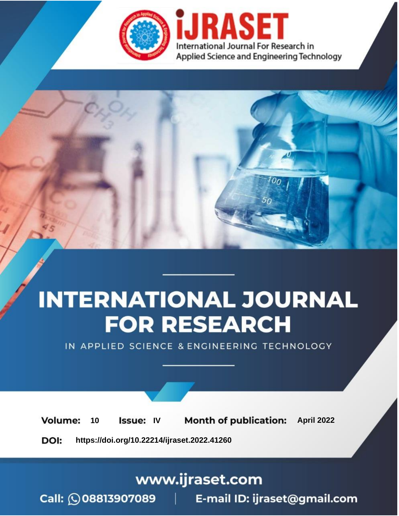

# **INTERNATIONAL JOURNAL FOR RESEARCH**

IN APPLIED SCIENCE & ENGINEERING TECHNOLOGY

10 **Issue: IV Month of publication:** April 2022 **Volume:** 

**https://doi.org/10.22214/ijraset.2022.41260**DOI:

www.ijraset.com

Call: 008813907089 | E-mail ID: ijraset@gmail.com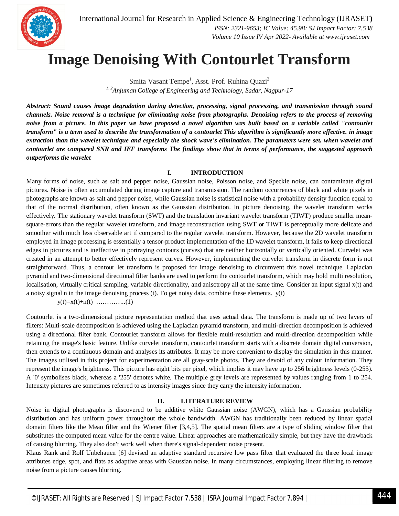International Journal for Research in Applied Science & Engineering Technology (IJRASET**)**  *ISSN: 2321-9653; IC Value: 45.98; SJ Impact Factor: 7.538 Volume 10 Issue IV Apr 2022- Available at www.ijraset.com*

### **Image Denoising With Contourlet Transform**

Smita Vasant Tempe<sup>1</sup>, Asst. Prof. Ruhina Quazi<sup>2</sup> *1, 2Anjuman College of Engineering and Technology, Sadar, Nagpur-17*

*Abstract: Sound causes image degradation during detection, processing, signal processing, and transmission through sound channels. Noise removal is a technique for eliminating noise from photographs. Denoising refers to the process of removing*  noise from a picture. In this paper we have proposed a novel algorithm was built based on a variable called "contourlet *transform" is a term used to describe the transformation of a contourlet This algorithm is significantly more effective. in image extraction than the wavelet technique and especially the shock wave's elimination. The parameters were set. when wavelet and contourlet are compared SNR and IEF transforms The findings show that in terms of performance, the suggested approach outperforms the wavelet*

#### **I. INTRODUCTION**

Many forms of noise, such as salt and pepper noise, Gaussian noise, Poisson noise, and Speckle noise, can contaminate digital pictures. Noise is often accumulated during image capture and transmission. The random occurrences of black and white pixels in photographs are known as salt and pepper noise, while Gaussian noise is statistical noise with a probability density function equal to that of the normal distribution, often known as the Gaussian distribution. In picture denoising, the wavelet transform works effectively. The stationary wavelet transform (SWT) and the translation invariant wavelet transform (TIWT) produce smaller meansquare-errors than the regular wavelet transform, and image reconstruction using SWT or TIWT is perceptually more delicate and smoother with much less observable art if compared to the regular wavelet transform. However, because the 2D wavelet transform employed in image processing is essentially a tensor-product implementation of the 1D wavelet transform, it fails to keep directional edges in pictures and is ineffective in portraying contours (curves) that are neither horizontally or vertically oriented. Curvelet was created in an attempt to better effectively represent curves. However, implementing the curvelet transform in discrete form is not straightforward. Thus, a contour let transform is proposed for image denoising to circumvent this novel technique. Laplacian pyramid and two-dimensional directional filter banks are used to perform the contourlet transform, which may hold multi resolution, localisation, virtually critical sampling, variable directionality, and anisotropy all at the same time. Consider an input signal  $x(t)$  and a noisy signal n in the image denoising process (t). To get noisy data, combine these elements. y(t)

y(t)=x(t)+n(t) …………..(1)

Coutourlet is a two-dimensional picture representation method that uses actual data. The transform is made up of two layers of filters: Multi-scale decomposition is achieved using the Laplacian pyramid transform, and multi-direction decomposition is achieved using a directional filter bank. Contourlet transform allows for flexible multi-resolution and multi-direction decomposition while retaining the image's basic feature. Unlike curvelet transform, contourlet transform starts with a discrete domain digital conversion, then extends to a continuous domain and analyses its attributes. It may be more convenient to display the simulation in this manner. The images utilised in this project for experimentation are all gray-scale photos. They are devoid of any colour information. They represent the image's brightness. This picture has eight bits per pixel, which implies it may have up to 256 brightness levels (0-255). A '0' symbolises black, whereas a '255' denotes white. The multiple grey levels are represented by values ranging from 1 to 254. Intensity pictures are sometimes referred to as intensity images since they carry the intensity information.

#### **II. LITERATURE REVIEW**

Noise in digital photographs is discovered to be additive white Gaussian noise (AWGN), which has a Gaussian probability distribution and has uniform power throughout the whole bandwidth. AWGN has traditionally been reduced by linear spatial domain filters like the Mean filter and the Wiener filter [3,4,5]. The spatial mean filters are a type of sliding window filter that substitutes the computed mean value for the centre value. Linear approaches are mathematically simple, but they have the drawback of causing blurring. They also don't work well when there's signal-dependent noise present.

Klaus Rank and Rolf Unbehauen [6] devised an adaptive standard recursive low pass filter that evaluated the three local image attributes edge, spot, and flats as adaptive areas with Gaussian noise. In many circumstances, employing linear filtering to remove noise from a picture causes blurring.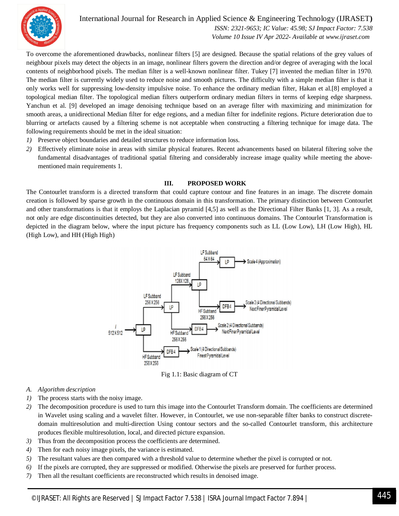

International Journal for Research in Applied Science & Engineering Technology (IJRASET**)**  *ISSN: 2321-9653; IC Value: 45.98; SJ Impact Factor: 7.538 Volume 10 Issue IV Apr 2022- Available at www.ijraset.com*

To overcome the aforementioned drawbacks, nonlinear filters [5] are designed. Because the spatial relations of the grey values of neighbour pixels may detect the objects in an image, nonlinear filters govern the direction and/or degree of averaging with the local contents of neighborhood pixels. The median filter is a well-known nonlinear filter. Tukey [7] invented the median filter in 1970. The median filter is currently widely used to reduce noise and smooth pictures. The difficulty with a simple median filter is that it only works well for suppressing low-density impulsive noise. To enhance the ordinary median filter, Hakan et al.[8] employed a topological median filter. The topological median filters outperform ordinary median filters in terms of keeping edge sharpness. Yanchun et al. [9] developed an image denoising technique based on an average filter with maximizing and minimization for smooth areas, a unidirectional Median filter for edge regions, and a median filter for indefinite regions. Picture deterioration due to blurring or artefacts caused by a filtering scheme is not acceptable when constructing a filtering technique for image data. The following requirements should be met in the ideal situation:

- *1)* Preserve object boundaries and detailed structures to reduce information loss.
- *2)* Effectively eliminate noise in areas with similar physical features. Recent advancements based on bilateral filtering solve the fundamental disadvantages of traditional spatial filtering and considerably increase image quality while meeting the abovementioned main requirements 1.

#### **III. PROPOSED WORK**

The Contourlet transform is a directed transform that could capture contour and fine features in an image. The discrete domain creation is followed by sparse growth in the continuous domain in this transformation. The primary distinction between Contourlet and other transformations is that it employs the Laplacian pyramid [4,5] as well as the Directional Filter Banks [1, 3]. As a result, not only are edge discontinuities detected, but they are also converted into continuous domains. The Contourlet Transformation is depicted in the diagram below, where the input picture has frequency components such as LL (Low Low), LH (Low High), HL (High Low), and HH (High High)





- *A. Algorithm description*
- *1)* The process starts with the noisy image.
- *2)* The decomposition procedure is used to turn this image into the Contourlet Transform domain. The coefficients are determined in Wavelet using scaling and a wavelet filter. However, in Contourlet, we use non-separable filter banks to construct discretedomain multiresolution and multi-direction Using contour sectors and the so-called Contourlet transform, this architecture produces flexible multiresolution, local, and directed picture expansion.
- *3)* Thus from the decomposition process the coefficients are determined.
- *4)* Then for each noisy image pixels, the variance is estimated.
- *5)* The resultant values are then compared with a threshold value to determine whether the pixel is corrupted or not.
- *6)* If the pixels are corrupted, they are suppressed or modified. Otherwise the pixels are preserved for further process.
- *7)* Then all the resultant coefficients are reconstructed which results in denoised image.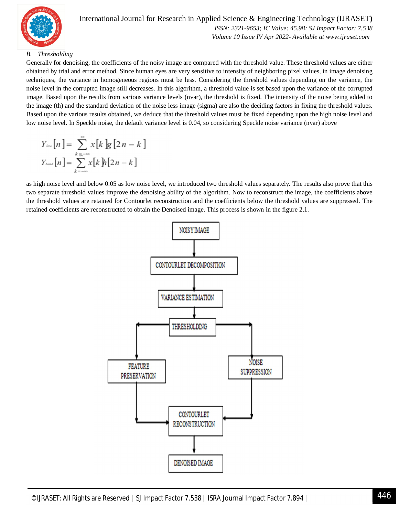

#### International Journal for Research in Applied Science & Engineering Technology (IJRASET**)**  *ISSN: 2321-9653; IC Value: 45.98; SJ Impact Factor: 7.538*

 *Volume 10 Issue IV Apr 2022- Available at www.ijraset.com*

#### *B. Thresholding*

Generally for denoising, the coefficients of the noisy image are compared with the threshold value. These threshold values are either obtained by trial and error method. Since human eyes are very sensitive to intensity of neighboring pixel values, in image denoising techniques, the variance in homogeneous regions must be less. Considering the threshold values depending on the variance, the noise level in the corrupted image still decreases. In this algorithm, a threshold value is set based upon the variance of the corrupted image. Based upon the results from various variance levels (nvar), the threshold is fixed. The intensity of the noise being added to the image (th) and the standard deviation of the noise less image (sigma) are also the deciding factors in fixing the threshold values. Based upon the various results obtained, we deduce that the threshold values must be fixed depending upon the high noise level and low noise level. In Speckle noise, the default variance level is 0.04, so considering Speckle noise variance (nvar) above

$$
Y_{\text{low}}[n] = \sum_{k=n-\infty}^{\infty} x[k]g[2n-k]
$$

$$
Y_{\text{low}}[n] = \sum_{k=-\infty}^{\infty} x[k]h[2n-k]
$$

as high noise level and below 0.05 as low noise level, we introduced two threshold values separately. The results also prove that this two separate threshold values improve the denoising ability of the algorithm. Now to reconstruct the image, the coefficients above the threshold values are retained for Contourlet reconstruction and the coefficients below the threshold values are suppressed. The retained coefficients are reconstructed to obtain the Denoised image. This process is shown in the figure 2.1.

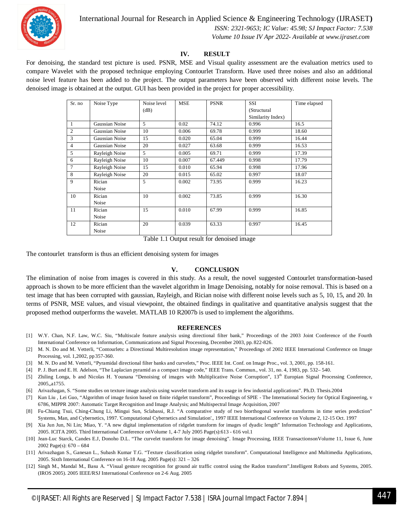

#### International Journal for Research in Applied Science & Engineering Technology (IJRASET**)**

 *ISSN: 2321-9653; IC Value: 45.98; SJ Impact Factor: 7.538*

 *Volume 10 Issue IV Apr 2022- Available at www.ijraset.com*

#### **IV. RESULT**

For denoising, the standard test picture is used. PSNR, MSE and Visual quality assessment are the evaluation metrics used to compare Wavelet with the proposed technique employing Contourlet Transform. Have used three noises and also an additional noise level feature has been added to the project. The output parameters have been observed with different noise levels. The denoised image is obtained at the output. GUI has been provided in the project for proper accessibility.

| Sr. no         | Noise Type     | Noise level | <b>MSE</b> | <b>PSNR</b> | <b>SSI</b>        | Time elapsed |
|----------------|----------------|-------------|------------|-------------|-------------------|--------------|
|                |                | (dB)        |            |             | (Structural       |              |
|                |                |             |            |             | Similarity Index) |              |
| 1              | Gaussian Noise | 5           | 0.02       | 74.12       | 0.996             | 16.5         |
| $\overline{2}$ | Gaussian Noise | 10          | 0.006      | 69.78       | 0.999             | 18.60        |
| 3              | Gaussian Noise | 15          | 0.020      | 65.04       | 0.999             | 16.44        |
| 4              | Gaussian Noise | 20          | 0.027      | 63.68       | 0.999             | 16.53        |
| 5              | Rayleigh Noise | 5           | 0.005      | 69.71       | 0.999             | 17.39        |
| 6              | Rayleigh Noise | 10          | 0.007      | 67.449      | 0.998             | 17.79        |
| 7              | Rayleigh Noise | 15          | 0.010      | 65.94       | 0.998             | 17.96        |
| 8              | Rayleigh Noise | 20          | 0.015      | 65.02       | 0.997             | 18.07        |
| 9              | Rician         | 5           | 0.002      | 73.95       | 0.999             | 16.23        |
|                | Noise          |             |            |             |                   |              |
| 10             | Rician         | 10          | 0.002      | 73.85       | 0.999             | 16.30        |
|                | Noise          |             |            |             |                   |              |
| 11             | Rician         | 15          | 0.010      | 67.99       | 0.999             | 16.85        |
|                | Noise          |             |            |             |                   |              |
| 12             | Rician         | 20          | 0.039      | 63.33       | 0.997             | 16.45        |
|                | Noise          |             |            |             |                   |              |

Table 1.1 Output result for denoised image

The contourlet transform is thus an efficient denoising system for images

#### **V. CONCLUSION**

The elimination of noise from images is covered in this study. As a result, the novel suggested Contourlet transformation-based approach is shown to be more efficient than the wavelet algorithm in Image Denoising, notably for noise removal. This is based on a test image that has been corrupted with gaussian, Rayleigh, and Rician noise with different noise levels such as 5, 10, 15, and 20. In terms of PSNR, MSE values, and visual viewpoint, the obtained findings in qualitative and quantitative analysis suggest that the proposed method outperforms the wavelet. MATLAB 10 R2007b is used to implement the algorithms.

#### **REFERENCES**

- [1] W.Y. Chan, N.F. Law, W.C. Siu, "Multiscale feature analysis using directional filter bank," Proceedings of the 2003 Joint Conference of the Fourth International Conference on Information, Communications and Signal Processing, December 2003, pp. 822-826.
- [2] M. N. Do and M. Vetterli, "Contourlets: a Directional Multiresolution image representation," Proceedings of 2002 IEEE International Conference on Image Processing, vol. 1,2002, pp 357-360.
- [3] M. N. Do and M. Vetterli, "Pyramidal directional filter banks and curvelets," Proc. IEEE Int. Conf. on Image Proc., vol. 3, 2001, pp. 158-161.
- [4] P. J. Burt and E. H. Adelson, "The Laplacian pyramid as a compact image code," IEEE Trans. Commun., vol. 31, no. 4, 1983, pp. 532– 540.
- [5] Zhiling Longa, b and Nicolas H. Younana "Denoising of images with Multiplicative Noise Corruption", 13<sup>th</sup> Europian Signal Processing Conference, 2005,,a1755.
- [6] Arivazhagan, S. "Some studies on texture image analysis using wavelet transform and its usage in few industrial applications". Ph.D. Thesis.2004
- [7] Kun Liu , Lei Guo, "Algorithm of image fusion based on finite ridgelet transform", Proceedings of SPIE The International Society for Optical Engineering, v 6786, MIPPR 2007: Automatic Target Recognition and Image Analysis; and Multispectral Image Acquisition, 2007
- [8] Fu-Chiang Tsui, Ching-Chung Li, Mingui Sun, Sclabassi, R.J. "A comparative study of two biorthogonal wavelet transforms in time series prediction" Systems, Man, and Cybernetics, 1997. 'Computational Cybernetics and Simulation'., 1997 IEEE International Conference on Volume 2, 12-15 Oct. 1997
- [9] Xia Jun Jun, Ni Lin; Miao, Y. "A new digital implementation of ridgelet transform for images of dyadic length" Information Technology and Applications, 2005. ICITA 2005. Third International Conference onVolume 1, 4-7 July 2005 Page(s):613 - 616 vol.1
- [10] Jean-Luc Starck, Candes E.J, Donoho D.L. "The curvelet transform for image denoising". Image Processing, IEEE TransactionsonVolume 11, Issue 6, June 2002 Page(s): 670 – 684
- [11] Arivazhagan S., Ganesan L., Subash Kumar T.G. "Texture classification using ridgelet transform". Computational Intelligence and Multimedia Applications, 2005. Sixth International Conference on 16-18 Aug. 2005 Page(s): 321 – 326
- [12] Singh M., Mandal M., Basu A. "Visual gesture recognition for ground air traffic control using the Radon transform".Intelligent Robots and Systems, 2005. (IROS 2005). 2005 IEEE/RSJ International Conference on 2-6 Aug. 2005